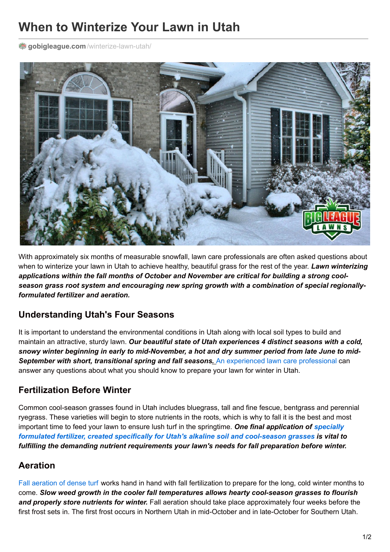# **When to Winterize Your Lawn in Utah**

**gobigleague.com** [/winterize-lawn-utah/](https://gobigleague.com/winterize-lawn-utah/)



With approximately six months of measurable snowfall, lawn care professionals are often asked questions about when to winterize your lawn in Utah to achieve healthy, beautiful grass for the rest of the year. *Lawn winterizing applications within the fall months of October and November are critical for building a strong coolseason grass root system and encouraging new spring growth with a combination of special regionallyformulated fertilizer and aeration.*

### **Understanding Utah's Four Seasons**

It is important to understand the environmental conditions in Utah along with local soil types to build and maintain an attractive, sturdy lawn. *Our beautiful state of Utah experiences 4 distinct seasons with a cold,* snowy winter beginning in early to mid-November, a hot and dry summer period from late June to mid-*September with short, transitional spring and fall seasons.* An [experienced](https://gobigleague.com/) lawn care professional can answer any questions about what you should know to prepare your lawn for winter in Utah.

### **Fertilization Before Winter**

Common cool-season grasses found in Utah includes bluegrass, tall and fine fescue, bentgrass and perennial ryegrass. These varieties will begin to store nutrients in the roots, which is why to fall it is the best and most important time to feed your lawn to ensure lush turf in the springtime. *One final application of specially formulated fertilizer, created specifically for Utah's alkaline soil and [cool-season](https://gobigleague.com/lawn-fertilization-services-utah/) grasses is vital to fulfilling the demanding nutrient requirements your lawn's needs for fall preparation before winter.*

## **Aeration**

Fall [aeration](https://gobigleague.com/lawn-aerator-service-utah/) of dense turf works hand in hand with fall fertilization to prepare for the long, cold winter months to come. *Slow weed growth in the cooler fall temperatures allows hearty cool-season grasses to flourish and properly store nutrients for winter.* Fall aeration should take place approximately four weeks before the first frost sets in. The first frost occurs in Northern Utah in mid-October and in late-October for Southern Utah.